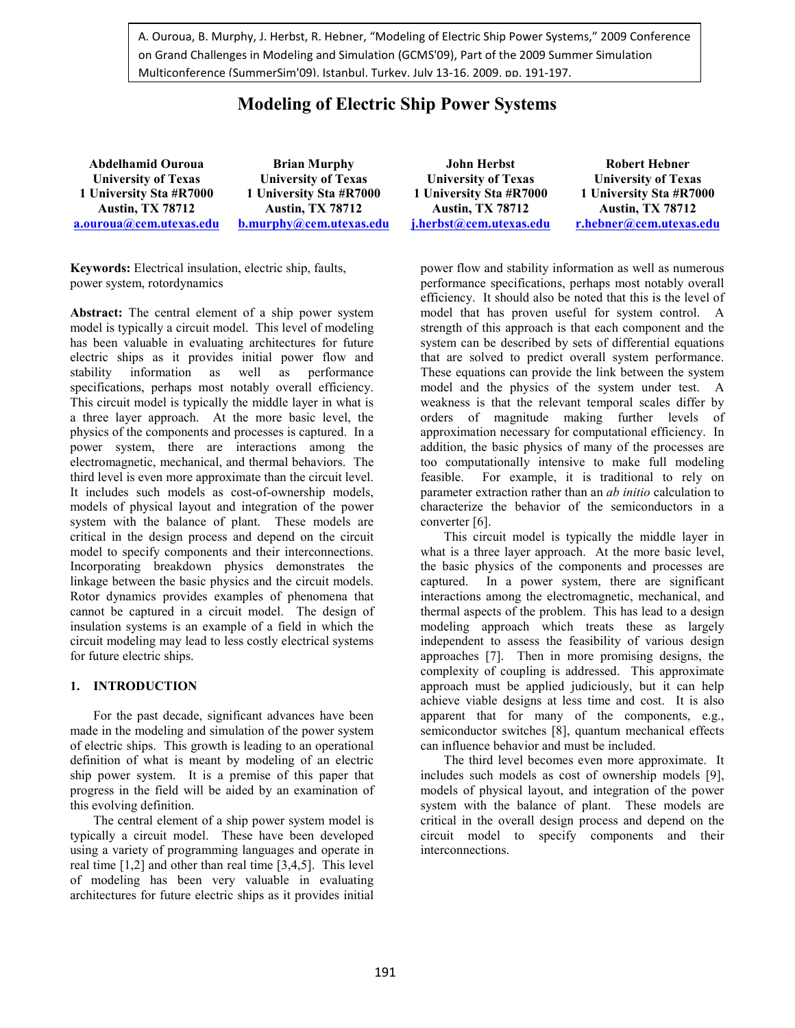A. Ouroua, B. Murphy, J. Herbst, R. Hebner, "Modeling of Electric Ship Power Systems," 2009 Conference on Grand Challenges in Modeling and Simulation (GCMS'09), Part of the 2009 Summer Simulation Multiconference (SummerSim'09), Istanbul, Turkey, July 13-16, 2009, pp. 191-197.

# **Modeling of Electric Ship Power Systems**

**Abdelhamid Ouroua University of Texas 1 University Sta #R7000 Austin, TX 78712 a.ouroua@cem.utexas.edu Brian Murphy University of Texas 1 University Sta #R7000 Austin, TX 78712 b.murphy@cem.utexas.edu**

**Keywords:** Electrical insulation, electric ship, faults, power system, rotordynamics

**Abstract:** The central element of a ship power system model is typically a circuit model. This level of modeling has been valuable in evaluating architectures for future electric ships as it provides initial power flow and stability information as well as performance specifications, perhaps most notably overall efficiency. This circuit model is typically the middle layer in what is a three layer approach. At the more basic level, the physics of the components and processes is captured. In a power system, there are interactions among the electromagnetic, mechanical, and thermal behaviors. The third level is even more approximate than the circuit level. It includes such models as cost-of-ownership models, models of physical layout and integration of the power system with the balance of plant. These models are critical in the design process and depend on the circuit model to specify components and their interconnections. Incorporating breakdown physics demonstrates the linkage between the basic physics and the circuit models. Rotor dynamics provides examples of phenomena that cannot be captured in a circuit model. The design of insulation systems is an example of a field in which the circuit modeling may lead to less costly electrical systems for future electric ships.

## **1. INTRODUCTION**

For the past decade, significant advances have been made in the modeling and simulation of the power system of electric ships. This growth is leading to an operational definition of what is meant by modeling of an electric ship power system. It is a premise of this paper that progress in the field will be aided by an examination of this evolving definition.

The central element of a ship power system model is typically a circuit model. These have been developed using a variety of programming languages and operate in real time [1,2] and other than real time [3,4,5]. This level of modeling has been very valuable in evaluating architectures for future electric ships as it provides initial

**John Herbst University of Texas 1 University Sta #R7000 Austin, TX 78712 j.herbst@cem.utexas.edu**

**Robert Hebner University of Texas 1 University Sta #R7000 Austin, TX 78712 r.hebner@cem.utexas.edu**

power flow and stability information as well as numerous performance specifications, perhaps most notably overall efficiency. It should also be noted that this is the level of model that has proven useful for system control. A strength of this approach is that each component and the system can be described by sets of differential equations that are solved to predict overall system performance. These equations can provide the link between the system model and the physics of the system under test. A weakness is that the relevant temporal scales differ by orders of magnitude making further levels of approximation necessary for computational efficiency. In addition, the basic physics of many of the processes are too computationally intensive to make full modeling feasible. For example, it is traditional to rely on parameter extraction rather than an *ab initio* calculation to characterize the behavior of the semiconductors in a converter [6].

This circuit model is typically the middle layer in what is a three layer approach. At the more basic level, the basic physics of the components and processes are captured. In a power system, there are significant interactions among the electromagnetic, mechanical, and thermal aspects of the problem. This has lead to a design modeling approach which treats these as largely independent to assess the feasibility of various design approaches [7]. Then in more promising designs, the complexity of coupling is addressed. This approximate approach must be applied judiciously, but it can help achieve viable designs at less time and cost. It is also apparent that for many of the components, e.g., semiconductor switches [8], quantum mechanical effects can influence behavior and must be included.

The third level becomes even more approximate. It includes such models as cost of ownership models [9], models of physical layout, and integration of the power system with the balance of plant. These models are critical in the overall design process and depend on the circuit model to specify components and their interconnections.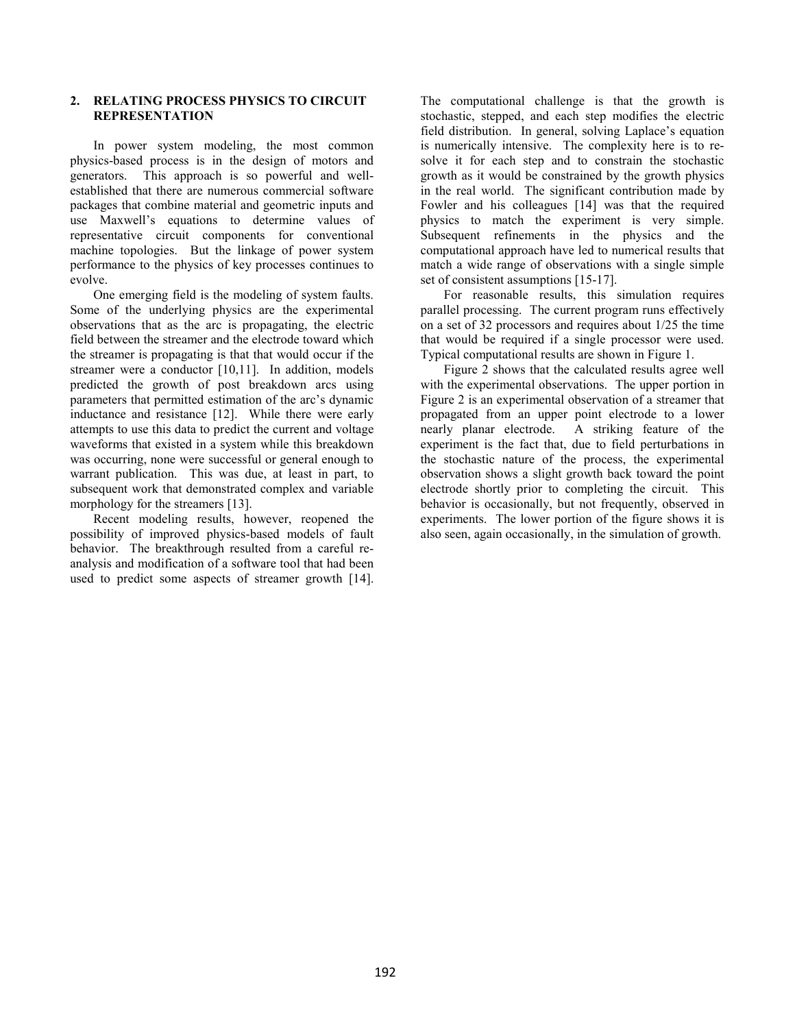#### **2. RELATING PROCESS PHYSICS TO CIRCUIT REPRESENTATION**

In power system modeling, the most common physics-based process is in the design of motors and generators. This approach is so powerful and wellestablished that there are numerous commercial software packages that combine material and geometric inputs and use Maxwell's equations to determine values of representative circuit components for conventional machine topologies. But the linkage of power system performance to the physics of key processes continues to evolve.

One emerging field is the modeling of system faults. Some of the underlying physics are the experimental observations that as the arc is propagating, the electric field between the streamer and the electrode toward which the streamer is propagating is that that would occur if the streamer were a conductor [10,11]. In addition, models predicted the growth of post breakdown arcs using parameters that permitted estimation of the arc's dynamic inductance and resistance [12]. While there were early attempts to use this data to predict the current and voltage waveforms that existed in a system while this breakdown was occurring, none were successful or general enough to warrant publication. This was due, at least in part, to subsequent work that demonstrated complex and variable morphology for the streamers [13].

Recent modeling results, however, reopened the possibility of improved physics-based models of fault behavior. The breakthrough resulted from a careful reanalysis and modification of a software tool that had been used to predict some aspects of streamer growth [14].

The computational challenge is that the growth is stochastic, stepped, and each step modifies the electric field distribution. In general, solving Laplace's equation is numerically intensive. The complexity here is to resolve it for each step and to constrain the stochastic growth as it would be constrained by the growth physics in the real world. The significant contribution made by Fowler and his colleagues [14] was that the required physics to match the experiment is very simple. Subsequent refinements in the physics and the computational approach have led to numerical results that match a wide range of observations with a single simple set of consistent assumptions [15-17].

For reasonable results, this simulation requires parallel processing. The current program runs effectively on a set of 32 processors and requires about 1/25 the time that would be required if a single processor were used. Typical computational results are shown in Figure 1.

Figure 2 shows that the calculated results agree well with the experimental observations. The upper portion in Figure 2 is an experimental observation of a streamer that propagated from an upper point electrode to a lower<br>nearly planar electrode. A striking feature of the A striking feature of the experiment is the fact that, due to field perturbations in the stochastic nature of the process, the experimental observation shows a slight growth back toward the point electrode shortly prior to completing the circuit. This behavior is occasionally, but not frequently, observed in experiments. The lower portion of the figure shows it is also seen, again occasionally, in the simulation of growth.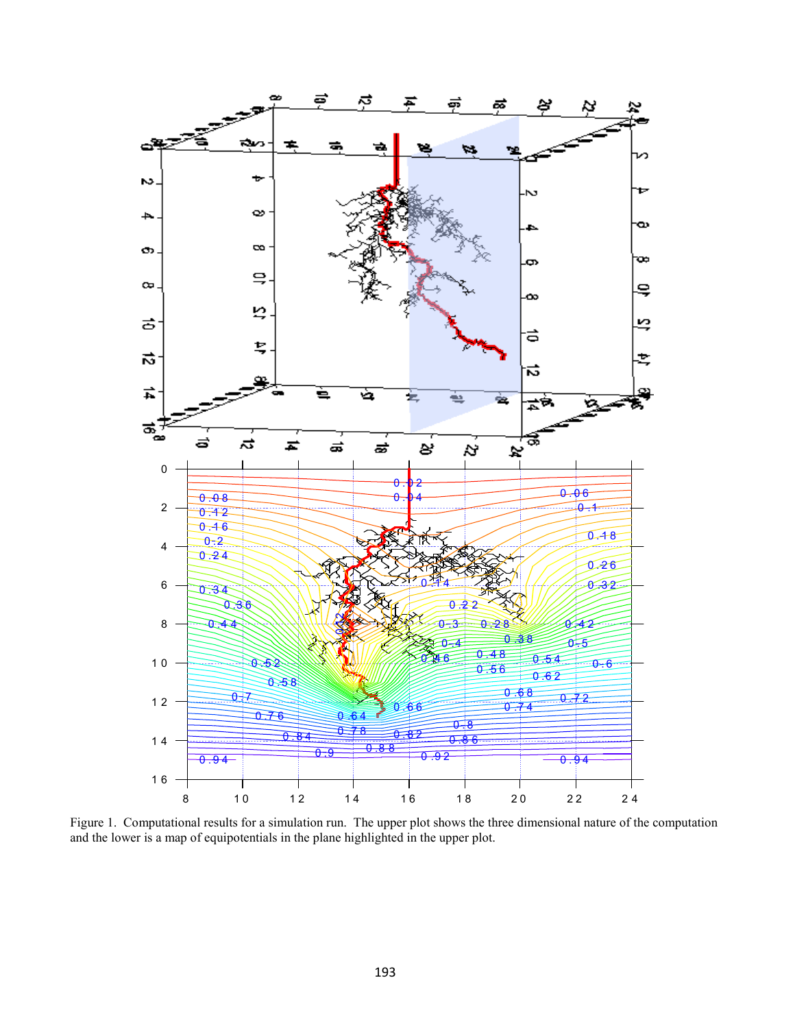

Figure 1. Computational results for a simulation run. The upper plot shows the three dimensional nature of the computation and the lower is a map of equipotentials in the plane highlighted in the upper plot.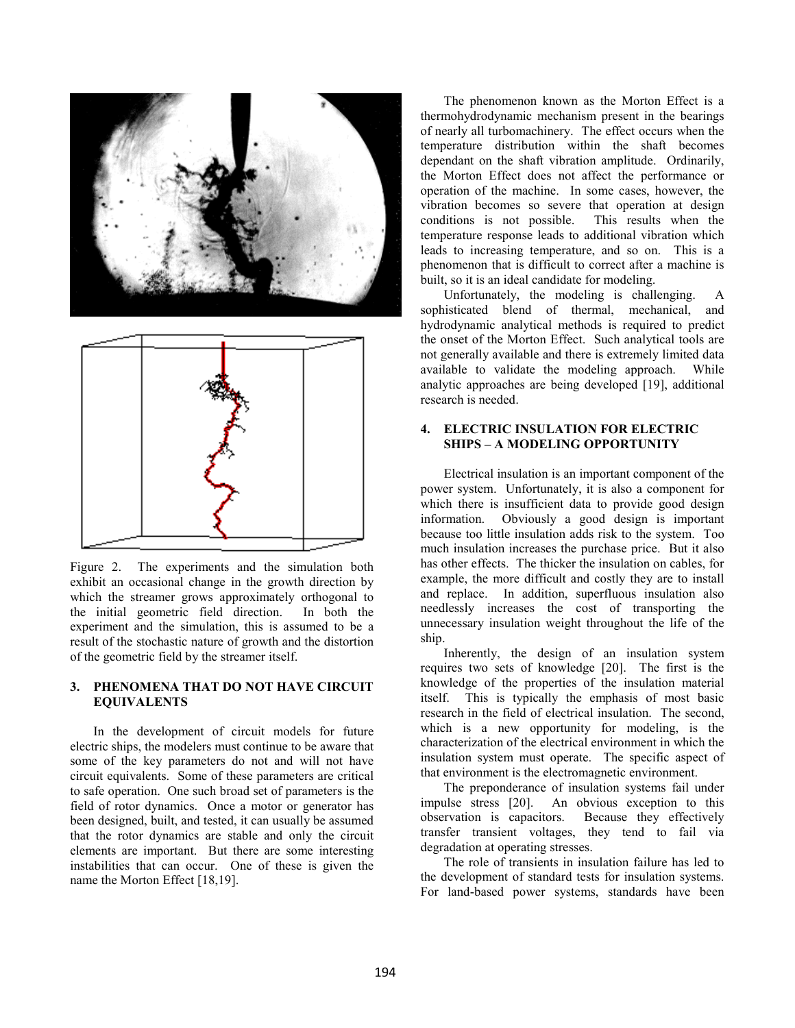



Figure 2. The experiments and the simulation both exhibit an occasional change in the growth direction by which the streamer grows approximately orthogonal to the initial geometric field direction. In both the experiment and the simulation, this is assumed to be a result of the stochastic nature of growth and the distortion of the geometric field by the streamer itself.

#### **3. PHENOMENA THAT DO NOT HAVE CIRCUIT EQUIVALENTS**

In the development of circuit models for future electric ships, the modelers must continue to be aware that some of the key parameters do not and will not have circuit equivalents. Some of these parameters are critical to safe operation. One such broad set of parameters is the field of rotor dynamics. Once a motor or generator has been designed, built, and tested, it can usually be assumed that the rotor dynamics are stable and only the circuit elements are important. But there are some interesting instabilities that can occur. One of these is given the name the Morton Effect [18,19].

The phenomenon known as the Morton Effect is a thermohydrodynamic mechanism present in the bearings of nearly all turbomachinery. The effect occurs when the temperature distribution within the shaft becomes dependant on the shaft vibration amplitude. Ordinarily, the Morton Effect does not affect the performance or operation of the machine. In some cases, however, the vibration becomes so severe that operation at design conditions is not possible. This results when the temperature response leads to additional vibration which leads to increasing temperature, and so on. This is a phenomenon that is difficult to correct after a machine is built, so it is an ideal candidate for modeling.

Unfortunately, the modeling is challenging. sophisticated blend of thermal, mechanical, and hydrodynamic analytical methods is required to predict the onset of the Morton Effect. Such analytical tools are not generally available and there is extremely limited data available to validate the modeling approach. While analytic approaches are being developed [19], additional research is needed.

#### **4. ELECTRIC INSULATION FOR ELECTRIC SHIPS – A MODELING OPPORTUNITY**

Electrical insulation is an important component of the power system. Unfortunately, it is also a component for which there is insufficient data to provide good design information. Obviously a good design is important because too little insulation adds risk to the system. Too much insulation increases the purchase price. But it also has other effects. The thicker the insulation on cables, for example, the more difficult and costly they are to install and replace. In addition, superfluous insulation also needlessly increases the cost of transporting the unnecessary insulation weight throughout the life of the ship.

Inherently, the design of an insulation system requires two sets of knowledge [20]. The first is the knowledge of the properties of the insulation material itself. This is typically the emphasis of most basic research in the field of electrical insulation. The second, which is a new opportunity for modeling, is the characterization of the electrical environment in which the insulation system must operate. The specific aspect of that environment is the electromagnetic environment.

The preponderance of insulation systems fail under impulse stress [20]. An obvious exception to this observation is capacitors. Because they effectively transfer transient voltages, they tend to fail via degradation at operating stresses.

The role of transients in insulation failure has led to the development of standard tests for insulation systems. For land-based power systems, standards have been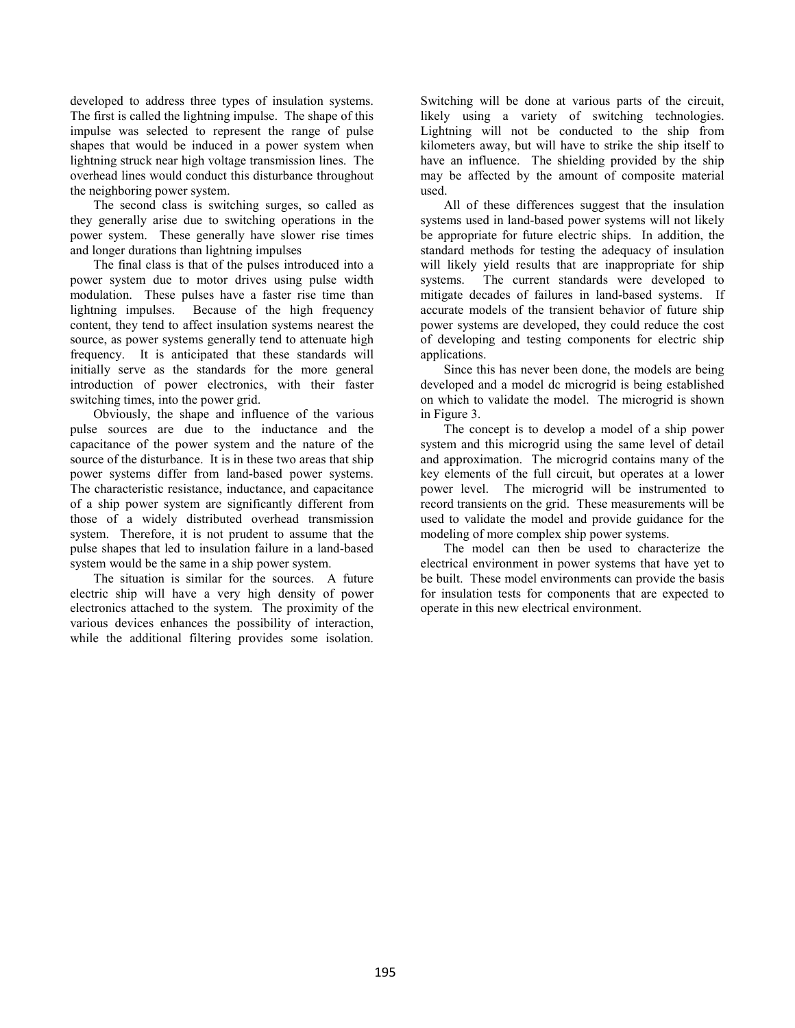developed to address three types of insulation systems. The first is called the lightning impulse. The shape of this impulse was selected to represent the range of pulse shapes that would be induced in a power system when lightning struck near high voltage transmission lines. The overhead lines would conduct this disturbance throughout the neighboring power system.

The second class is switching surges, so called as they generally arise due to switching operations in the power system. These generally have slower rise times and longer durations than lightning impulses

The final class is that of the pulses introduced into a power system due to motor drives using pulse width modulation. These pulses have a faster rise time than lightning impulses. Because of the high frequency content, they tend to affect insulation systems nearest the source, as power systems generally tend to attenuate high frequency. It is anticipated that these standards will initially serve as the standards for the more general introduction of power electronics, with their faster switching times, into the power grid.

Obviously, the shape and influence of the various pulse sources are due to the inductance and the capacitance of the power system and the nature of the source of the disturbance. It is in these two areas that ship power systems differ from land-based power systems. The characteristic resistance, inductance, and capacitance of a ship power system are significantly different from those of a widely distributed overhead transmission system. Therefore, it is not prudent to assume that the pulse shapes that led to insulation failure in a land-based system would be the same in a ship power system.

The situation is similar for the sources. A future electric ship will have a very high density of power electronics attached to the system. The proximity of the various devices enhances the possibility of interaction, while the additional filtering provides some isolation.

Switching will be done at various parts of the circuit, likely using a variety of switching technologies. Lightning will not be conducted to the ship from kilometers away, but will have to strike the ship itself to have an influence. The shielding provided by the ship may be affected by the amount of composite material used.

All of these differences suggest that the insulation systems used in land-based power systems will not likely be appropriate for future electric ships. In addition, the standard methods for testing the adequacy of insulation will likely yield results that are inappropriate for ship systems. The current standards were developed to mitigate decades of failures in land-based systems. If accurate models of the transient behavior of future ship power systems are developed, they could reduce the cost of developing and testing components for electric ship applications.

Since this has never been done, the models are being developed and a model dc microgrid is being established on which to validate the model. The microgrid is shown in Figure 3.

The concept is to develop a model of a ship power system and this microgrid using the same level of detail and approximation. The microgrid contains many of the key elements of the full circuit, but operates at a lower power level. The microgrid will be instrumented to record transients on the grid. These measurements will be used to validate the model and provide guidance for the modeling of more complex ship power systems.

The model can then be used to characterize the electrical environment in power systems that have yet to be built. These model environments can provide the basis for insulation tests for components that are expected to operate in this new electrical environment.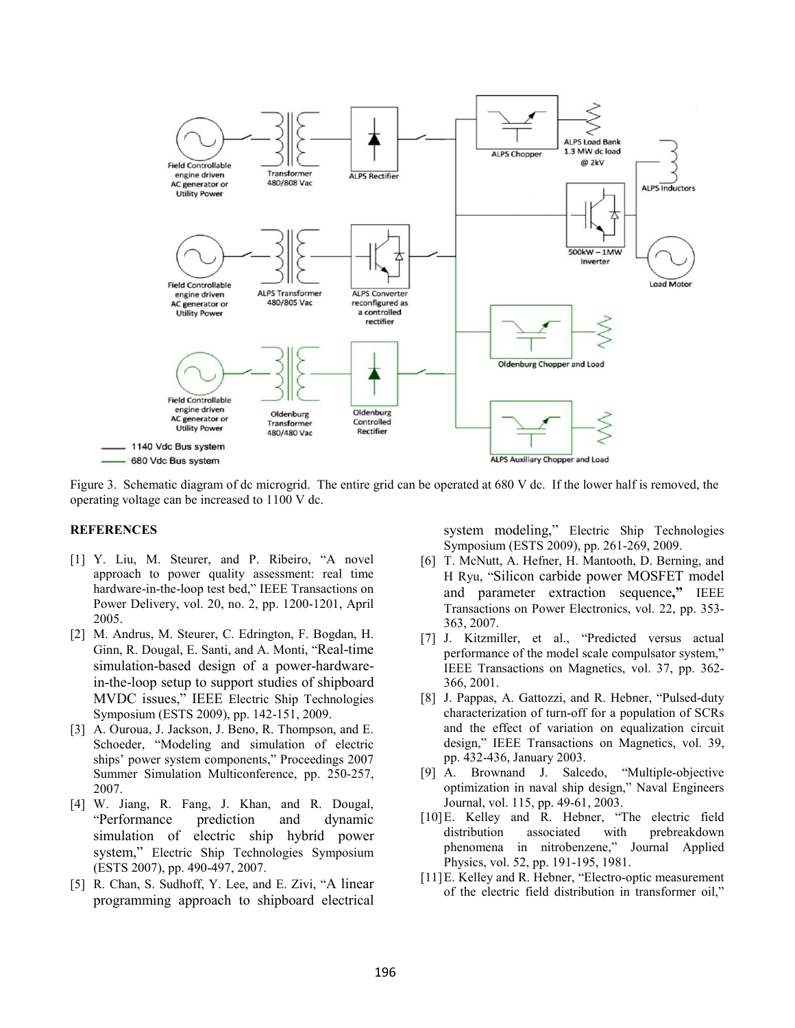

Figure 3. Schematic diagram of dc microgrid. The entire grid can be operated at 680 V dc. If the lower half is removed, the operating voltage can be increased to 1100 V dc.

### **REFERENCES**

- [1] Y. Liu, M. Steurer, and P. Ribeiro, "A novel approach to power quality assessment: real time hardware-in-the-loop test bed," IEEE Transactions on Power Delivery, vol. 20, no. 2, pp. 1200-1201, April 2005.
- [2] M. Andrus, M. Steurer, C. Edrington, F. Bogdan, H. Ginn, R. Dougal, E. Santi, and A. Monti, "Real-time simulation-based design of a power-hardwarein-the-loop setup to support studies of shipboard MVDC issues," IEEE Electric Ship Technologies Symposium (ESTS 2009), pp. 142-151, 2009.
- [3] A. Ouroua, J. Jackson, J. Beno, R. Thompson, and E. Schoeder, "Modeling and simulation of electric ships' power system components," Proceedings 2007 Summer Simulation Multiconference, pp. 250-257, 2007.
- [4] W. Jiang, R. Fang, J. Khan, and R. Dougal, "Performance prediction and dynamic simulation of electric ship hybrid power system," Electric Ship Technologies Symposium (ESTS 2007), pp. 490-497, 2007.
- [5] R. Chan, S. Sudhoff, Y. Lee, and E. Zivi, "A linear programming approach to shipboard electrical

system modeling," Electric Ship Technologies Symposium (ESTS 2009), pp. 261-269, 2009.

- [6] T. McNutt, A. Hefner, H. Mantooth, D. Berning, and H Ryu, "Silicon carbide power MOSFET model and parameter extraction sequence**,"** IEEE Transactions on Power Electronics, vol. 22, pp. 353- 363, 2007.
- [7] J. Kitzmiller, et al., "Predicted versus actual performance of the model scale compulsator system," IEEE Transactions on Magnetics, vol. 37, pp. 362- 366, 2001.
- [8] J. Pappas, A. Gattozzi, and R. Hebner, "Pulsed-duty characterization of turn-off for a population of SCRs and the effect of variation on equalization circuit design," IEEE Transactions on Magnetics, vol. 39, pp. 432-436, January 2003.
- [9] A. Brownand J. Salcedo, "Multiple-objective optimization in naval ship design," Naval Engineers Journal, vol. 115, pp. 49-61, 2003.
- [10]E. Kelley and R. Hebner, "The electric field distribution associated with prebreakdown phenomena in nitrobenzene," Journal Applied Physics, vol. 52, pp. 191-195, 1981.
- [11]E. Kelley and R. Hebner, "Electro-optic measurement of the electric field distribution in transformer oil,"